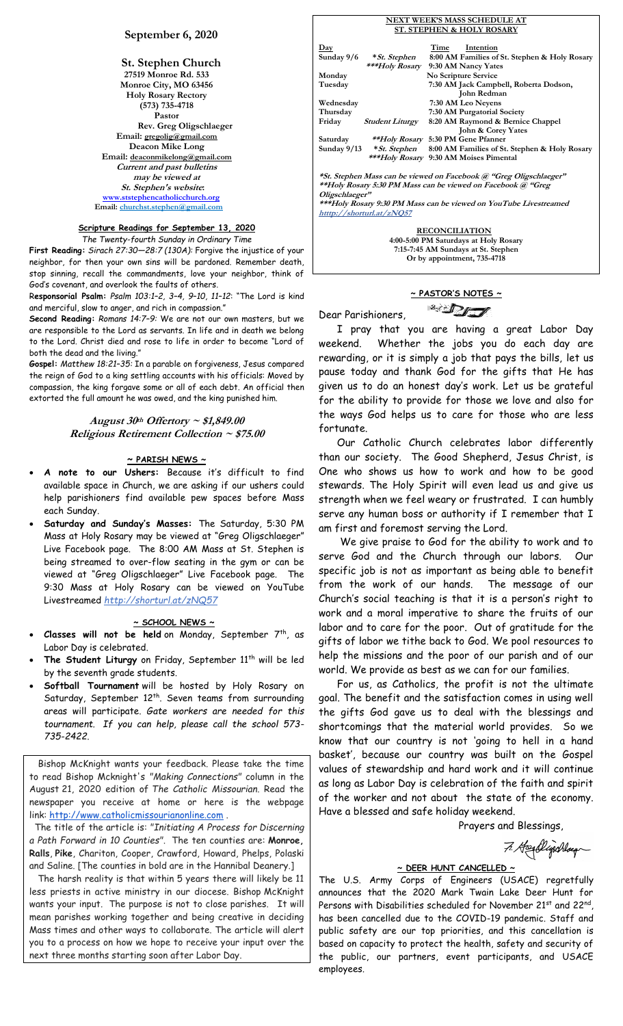# **September 6, 2020**

**St. Stephen Church 27519 Monroe Rd. 533 Monroe City, MO 63456 Holy Rosary Rectory (573) 735-4718 Pastor Rev. Greg Oligschlaeger Email: gregolig@gmail.com Deacon Mike Long Email: deaconmikelong@gmail.com Current and past bulletins may be viewed at St. Stephen's website: [www.ststephencatholicchurch.org](http://www.ststephencatholicchurch.org/) Email: [churchst.stephen@gmail.com](mailto:churchst.stephen@gmail.com)**

# **Scripture Readings for September 13, 2020**

*The Twenty-fourth Sunday in Ordinary Time* **First Reading:** *Sirach 27:30—28:7 (130A):* Forgive the injustice of your neighbor, for then your own sins will be pardoned. Remember death, stop sinning, recall the commandments, love your neighbor, think of God's covenant, and overlook the faults of others.

R**esponsorial Psalm:** *Psalm 103:1–2, 3–4, 9–10, 11–12*: "The Lord is kind and merciful, slow to anger, and rich in compassion."

**Second Reading:** *Romans 14:7–9:* We are not our own masters, but we are responsible to the Lord as servants. In life and in death we belong to the Lord. Christ died and rose to life in order to become "Lord of both the dead and the living."

**Gospel:** *Matthew 18:21–35:* In a parable on forgiveness, Jesus compared the reign of God to a king settling accounts with his officials: Moved by compassion, the king forgave some or all of each debt. An official then extorted the full amount he was owed, and the king punished him.

# **August 30th Offertory ~ \$1,849.00 Religious Retirement Collection ~ \$75.00**

# **~ PARISH NEWS ~**

- **A note to our Ushers:** Because it's difficult to find available space in Church, we are asking if our ushers could help parishioners find available pew spaces before Mass each Sunday.
- **Saturday and Sunday's Masses:** The Saturday, 5:30 PM Mass at Holy Rosary may be viewed at "Greg Oligschlaeger" Live Facebook page. The 8:00 AM Mass at St. Stephen is being streamed to over-flow seating in the gym or can be viewed at "Greg Oligschlaeger" Live Facebook page. The 9:30 Mass at Holy Rosary can be viewed on YouTube Livestreamed *http://shorturl.at/zNQ57*

#### **~ SCHOOL NEWS ~**

- **Classes will not be held** on Monday, September 7<sup>th</sup>, as Labor Day is celebrated.
- The Student Liturgy on Friday, September 11<sup>th</sup> will be led by the seventh grade students.
- **Softball Tournament** will be hosted by Holy Rosary on Saturday, September  $12<sup>th</sup>$ . Seven teams from surrounding areas will participate. *Gate workers are needed for this tournament. If you can help, please call the school 573- 735-2422*.

 Bishop McKnight wants your feedback. Please take the time to read Bishop Mcknight's *"Making Connections"* column in the August 21, 2020 edition of *The Catholic Missourian*. Read the newspaper you receive at home or here is the webpage link: [http://www.catholicmissourianonline.com](http://www.catholicmissourianonline.com/) .

The title of the article is: *"Initiating A Process for Discerning a Path Forward in 10 Counties"*. The ten counties are: **Monroe, Ralls**, **Pike**, Chariton, Cooper, Crawford, Howard, Phelps, Polaski and Saline. [The counties in bold are in the Hannibal Deanery.]

The harsh reality is that within 5 years there will likely be 11 less priests in active ministry in our diocese. Bishop McKnight wants your input. The purpose is not to close parishes. It will mean parishes working together and being creative in deciding Mass times and other ways to collaborate. The article will alert you to a process on how we hope to receive your input over the next three months starting soon after Labor Day.

|                |                                             |                       | <b>NEXT WEEK'S MASS SCHEDULE AT</b>                                                                                                                                                                     |
|----------------|---------------------------------------------|-----------------------|---------------------------------------------------------------------------------------------------------------------------------------------------------------------------------------------------------|
|                |                                             |                       | ST. STEPHEN & HOLY ROSARY                                                                                                                                                                               |
| $_{\rm{Day}}$  |                                             | Time                  | Intention                                                                                                                                                                                               |
| Sunday 9/6     | * St. Stephen                               |                       | 8:00 AM Families of St. Stephen & Holy Rosary                                                                                                                                                           |
|                | ***Holy Rosary                              |                       | 9:30 AM Nancy Yates                                                                                                                                                                                     |
| Monday         |                                             |                       | No Scripture Service                                                                                                                                                                                    |
| Tuesday        |                                             |                       | 7:30 AM Jack Campbell, Roberta Dodson,                                                                                                                                                                  |
|                |                                             |                       | John Redman                                                                                                                                                                                             |
| Wednesday      |                                             |                       | 7:30 AM Leo Neyens                                                                                                                                                                                      |
| Thursday       |                                             |                       | 7:30 AM Purgatorial Society                                                                                                                                                                             |
| Friday         | <b>Student Liturgy</b>                      |                       | 8:20 AM Raymond & Bernice Chappel                                                                                                                                                                       |
|                |                                             |                       | John & Corey Yates                                                                                                                                                                                      |
|                | Saturday **Holy Rosary 5:30 PM Gene Pfanner |                       |                                                                                                                                                                                                         |
|                |                                             |                       | Sunday 9/13 *St. Stephen 8:00 AM Families of St. Stephen & Holy Rosary                                                                                                                                  |
|                |                                             |                       | ***Holy Rosary 9:30 AM Moises Pimental                                                                                                                                                                  |
| Oligschlaeger" | htttp://shorturl.at/zNQ57                   |                       | *St. Stephen Mass can be viewed on Facebook @ "Greg Oligschlaeger"<br>**Holy Rosary 5:30 PM Mass can be viewed on Facebook @ "Greg<br>***Holy Rosary 9:30 PM Mass can be viewed on YouTube Livestreamed |
|                |                                             | <b>RECONCILIATION</b> |                                                                                                                                                                                                         |
|                |                                             |                       | 4:00-5:00 PM Saturdays at Holy Rosary                                                                                                                                                                   |

# **~ PASTOR'S NOTES ~**  $\mathbb{Z}$

**7:15-7:45 AM Sundays at St. Stephen Or by appointment, 735-4718**

Dear Parishioners,

 I pray that you are having a great Labor Day weekend. Whether the jobs you do each day are rewarding, or it is simply a job that pays the bills, let us pause today and thank God for the gifts that He has given us to do an honest day's work. Let us be grateful for the ability to provide for those we love and also for the ways God helps us to care for those who are less fortunate.

 Our Catholic Church celebrates labor differently than our society. The Good Shepherd, Jesus Christ, is One who shows us how to work and how to be good stewards. The Holy Spirit will even lead us and give us strength when we feel weary or frustrated. I can humbly serve any human boss or authority if I remember that I am first and foremost serving the Lord.

 We give praise to God for the ability to work and to serve God and the Church through our labors. Our specific job is not as important as being able to benefit from the work of our hands. The message of our Church's social teaching is that it is a person's right to work and a moral imperative to share the fruits of our labor and to care for the poor. Out of gratitude for the gifts of labor we tithe back to God. We pool resources to help the missions and the poor of our parish and of our world. We provide as best as we can for our families.

 For us, as Catholics, the profit is not the ultimate goal. The benefit and the satisfaction comes in using well the gifts God gave us to deal with the blessings and shortcomings that the material world provides. So we know that our country is not 'going to hell in a hand basket', because our country was built on the Gospel values of stewardship and hard work and it will continue as long as Labor Day is celebration of the faith and spirit of the worker and not about the state of the economy. Have a blessed and safe holiday weekend.

Prayers and Blessings,

7. Hoseligschlag

#### **~ DEER HUNT CANCELLED ~**

The U.S. Army Corps of Engineers (USACE) regretfully announces that the 2020 Mark Twain Lake Deer Hunt for Persons with Disabilities scheduled for November 21 $^{\rm st}$  and 22 $^{\rm nd}$ , has been cancelled due to the COVID-19 pandemic. Staff and public safety are our top priorities, and this cancellation is based on capacity to protect the health, safety and security of the public, our partners, event participants, and USACE employees.